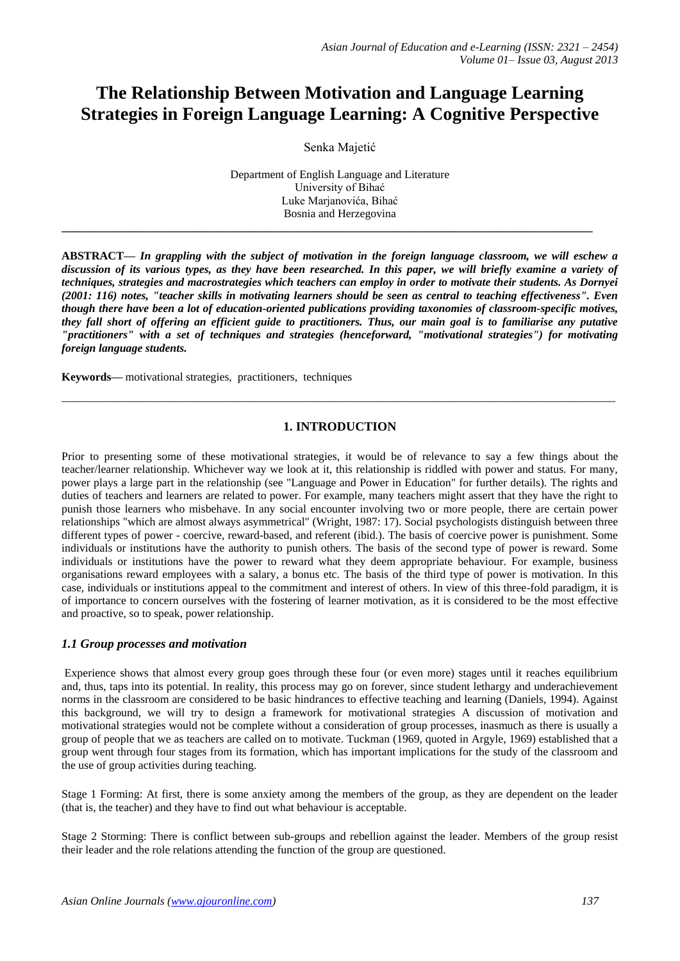# **The Relationship Between Motivation and Language Learning Strategies in Foreign Language Learning: A Cognitive Perspective**

Senka Majetić

Department of English Language and Literature University of Bihać Luke Marjanovića, Bihać Bosnia and Herzegovina

**\_\_\_\_\_\_\_\_\_\_\_\_\_\_\_\_\_\_\_\_\_\_\_\_\_\_\_\_\_\_\_\_\_\_\_\_\_\_\_\_\_\_\_\_\_\_\_\_\_\_\_\_\_\_\_\_\_\_\_\_\_\_\_\_\_\_\_\_\_\_\_\_\_\_\_\_\_\_\_\_\_\_\_\_\_\_\_\_\_\_\_\_\_**

**ABSTRACT—** *In grappling with the subject of motivation in the foreign language classroom, we will eschew a discussion of its various types, as they have been researched. In this paper, we will briefly examine a variety of techniques, strategies and macrostrategies which teachers can employ in order to motivate their students. As Dornyei (2001: 116) notes, "teacher skills in motivating learners should be seen as central to teaching effectiveness". Even though there have been a lot of education-oriented publications providing taxonomies of classroom-specific motives, they fall short of offering an efficient guide to practitioners. Thus, our main goal is to familiarise any putative "practitioners" with a set of techniques and strategies (henceforward, "motivational strategies") for motivating foreign language students.* 

**Keywords—** motivational strategies, practitioners, techniques

## **1. INTRODUCTION**

\_\_\_\_\_\_\_\_\_\_\_\_\_\_\_\_\_\_\_\_\_\_\_\_\_\_\_\_\_\_\_\_\_\_\_\_\_\_\_\_\_\_\_\_\_\_\_\_\_\_\_\_\_\_\_\_\_\_\_\_\_\_\_\_\_\_\_\_\_\_\_\_\_\_\_\_\_\_\_\_\_\_\_\_\_\_\_\_\_\_\_\_\_\_\_\_\_

Prior to presenting some of these motivational strategies, it would be of relevance to say a few things about the teacher/learner relationship. Whichever way we look at it, this relationship is riddled with power and status. For many, power plays a large part in the relationship (see "Language and Power in Education" for further details). The rights and duties of teachers and learners are related to power. For example, many teachers might assert that they have the right to punish those learners who misbehave. In any social encounter involving two or more people, there are certain power relationships "which are almost always asymmetrical" (Wright, 1987: 17). Social psychologists distinguish between three different types of power - coercive, reward-based, and referent (ibid.). The basis of coercive power is punishment. Some individuals or institutions have the authority to punish others. The basis of the second type of power is reward. Some individuals or institutions have the power to reward what they deem appropriate behaviour. For example, business organisations reward employees with a salary, a bonus etc. The basis of the third type of power is motivation. In this case, individuals or institutions appeal to the commitment and interest of others. In view of this three-fold paradigm, it is of importance to concern ourselves with the fostering of learner motivation, as it is considered to be the most effective and proactive, so to speak, power relationship.

#### *1.1 Group processes and motivation*

Experience shows that almost every group goes through these four (or even more) stages until it reaches equilibrium and, thus, taps into its potential. In reality, this process may go on forever, since student lethargy and underachievement norms in the classroom are considered to be basic hindrances to effective teaching and learning (Daniels, 1994). Against this background, we will try to design a framework for motivational strategies A discussion of motivation and motivational strategies would not be complete without a consideration of group processes, inasmuch as there is usually a group of people that we as teachers are called on to motivate. Tuckman (1969, quoted in Argyle, 1969) established that a group went through four stages from its formation, which has important implications for the study of the classroom and the use of group activities during teaching.

Stage 1 Forming: At first, there is some anxiety among the members of the group, as they are dependent on the leader (that is, the teacher) and they have to find out what behaviour is acceptable.

Stage 2 Storming: There is conflict between sub-groups and rebellion against the leader. Members of the group resist their leader and the role relations attending the function of the group are questioned.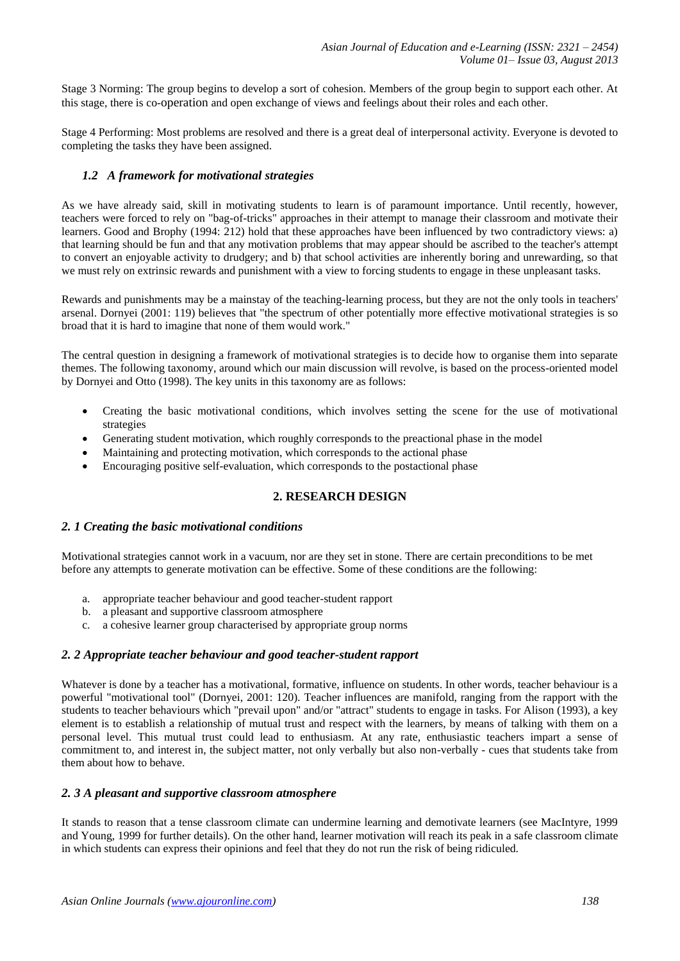Stage 3 Norming: The group begins to develop a sort of cohesion. Members of the group begin to support each other. At this stage, there is co-operation and open exchange of views and feelings about their roles and each other.

Stage 4 Performing: Most problems are resolved and there is a great deal of interpersonal activity. Everyone is devoted to completing the tasks they have been assigned.

# *1.2 A framework for motivational strategies*

As we have already said, skill in motivating students to learn is of paramount importance. Until recently, however, teachers were forced to rely on "bag-of-tricks" approaches in their attempt to manage their classroom and motivate their learners. Good and Brophy (1994: 212) hold that these approaches have been influenced by two contradictory views: a) that learning should be fun and that any motivation problems that may appear should be ascribed to the teacher's attempt to convert an enjoyable activity to drudgery; and b) that school activities are inherently boring and unrewarding, so that we must rely on extrinsic rewards and punishment with a view to forcing students to engage in these unpleasant tasks.

Rewards and punishments may be a mainstay of the teaching-learning process, but they are not the only tools in teachers' arsenal. Dornyei (2001: 119) believes that "the spectrum of other potentially more effective motivational strategies is so broad that it is hard to imagine that none of them would work."

The central question in designing a framework of motivational strategies is to decide how to organise them into separate themes. The following taxonomy, around which our main discussion will revolve, is based on the process-oriented model by Dornyei and Otto (1998). The key units in this taxonomy are as follows:

- Creating the basic motivational conditions, which involves setting the scene for the use of motivational strategies
- Generating student motivation, which roughly corresponds to the preactional phase in the model
- Maintaining and protecting motivation, which corresponds to the actional phase
- Encouraging positive self-evaluation, which corresponds to the postactional phase

# **2. RESEARCH DESIGN**

#### *2. 1 Creating the basic motivational conditions*

Motivational strategies cannot work in a vacuum, nor are they set in stone. There are certain preconditions to be met before any attempts to generate motivation can be effective. Some of these conditions are the following:

- a. appropriate teacher behaviour and good teacher-student rapport
- b. a pleasant and supportive classroom atmosphere
- c. a cohesive learner group characterised by appropriate group norms

# *2. 2 Appropriate teacher behaviour and good teacher-student rapport*

Whatever is done by a teacher has a motivational, formative, influence on students. In other words, teacher behaviour is a powerful "motivational tool" (Dornyei, 2001: 120). Teacher influences are manifold, ranging from the rapport with the students to teacher behaviours which "prevail upon" and/or "attract" students to engage in tasks. For Alison (1993), a key element is to establish a relationship of mutual trust and respect with the learners, by means of talking with them on a personal level. This mutual trust could lead to enthusiasm. At any rate, enthusiastic teachers impart a sense of commitment to, and interest in, the subject matter, not only verbally but also non-verbally - cues that students take from them about how to behave.

#### *2. 3 A pleasant and supportive classroom atmosphere*

It stands to reason that a tense classroom climate can undermine learning and demotivate learners (see MacIntyre, 1999 and Young, 1999 for further details). On the other hand, learner motivation will reach its peak in a safe classroom climate in which students can express their opinions and feel that they do not run the risk of being ridiculed.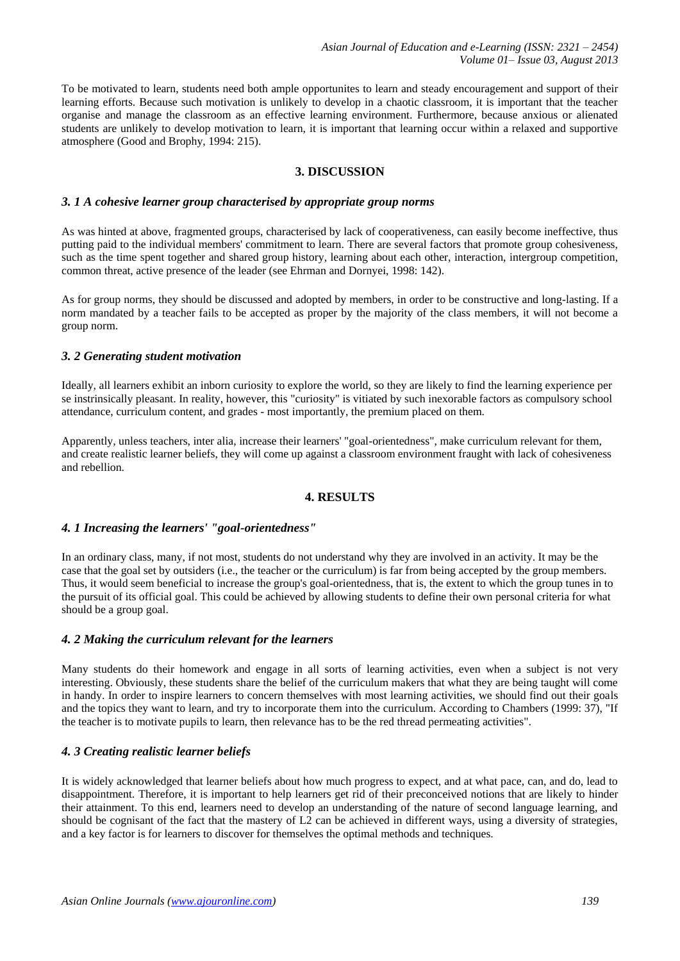To be motivated to learn, students need both ample opportunites to learn and steady encouragement and support of their learning efforts. Because such motivation is unlikely to develop in a chaotic classroom, it is important that the teacher organise and manage the classroom as an effective learning environment. Furthermore, because anxious or alienated students are unlikely to develop motivation to learn, it is important that learning occur within a relaxed and supportive atmosphere (Good and Brophy, 1994: 215).

# **3. DISCUSSION**

#### *3. 1 A cohesive learner group characterised by appropriate group norms*

As was hinted at above, fragmented groups, characterised by lack of cooperativeness, can easily become ineffective, thus putting paid to the individual members' commitment to learn. There are several factors that promote group cohesiveness, such as the time spent together and shared group history, learning about each other, interaction, intergroup competition, common threat, active presence of the leader (see Ehrman and Dornyei, 1998: 142).

As for group norms, they should be discussed and adopted by members, in order to be constructive and long-lasting. If a norm mandated by a teacher fails to be accepted as proper by the majority of the class members, it will not become a group norm.

#### *3. 2 Generating student motivation*

Ideally, all learners exhibit an inborn curiosity to explore the world, so they are likely to find the learning experience per se instrinsically pleasant. In reality, however, this "curiosity" is vitiated by such inexorable factors as compulsory school attendance, curriculum content, and grades - most importantly, the premium placed on them.

Apparently, unless teachers, inter alia, increase their learners' "goal-orientedness", make curriculum relevant for them, and create realistic learner beliefs, they will come up against a classroom environment fraught with lack of cohesiveness and rebellion.

#### **4. RESULTS**

#### *4. 1 Increasing the learners' "goal-orientedness"*

In an ordinary class, many, if not most, students do not understand why they are involved in an activity. It may be the case that the goal set by outsiders (i.e., the teacher or the curriculum) is far from being accepted by the group members. Thus, it would seem beneficial to increase the group's goal-orientedness, that is, the extent to which the group tunes in to the pursuit of its official goal. This could be achieved by allowing students to define their own personal criteria for what should be a group goal.

#### *4. 2 Making the curriculum relevant for the learners*

Many students do their homework and engage in all sorts of learning activities, even when a subject is not very interesting. Obviously, these students share the belief of the curriculum makers that what they are being taught will come in handy. In order to inspire learners to concern themselves with most learning activities, we should find out their goals and the topics they want to learn, and try to incorporate them into the curriculum. According to Chambers (1999: 37), "If the teacher is to motivate pupils to learn, then relevance has to be the red thread permeating activities".

# *4. 3 Creating realistic learner beliefs*

It is widely acknowledged that learner beliefs about how much progress to expect, and at what pace, can, and do, lead to disappointment. Therefore, it is important to help learners get rid of their preconceived notions that are likely to hinder their attainment. To this end, learners need to develop an understanding of the nature of second language learning, and should be cognisant of the fact that the mastery of L2 can be achieved in different ways, using a diversity of strategies, and a key factor is for learners to discover for themselves the optimal methods and techniques.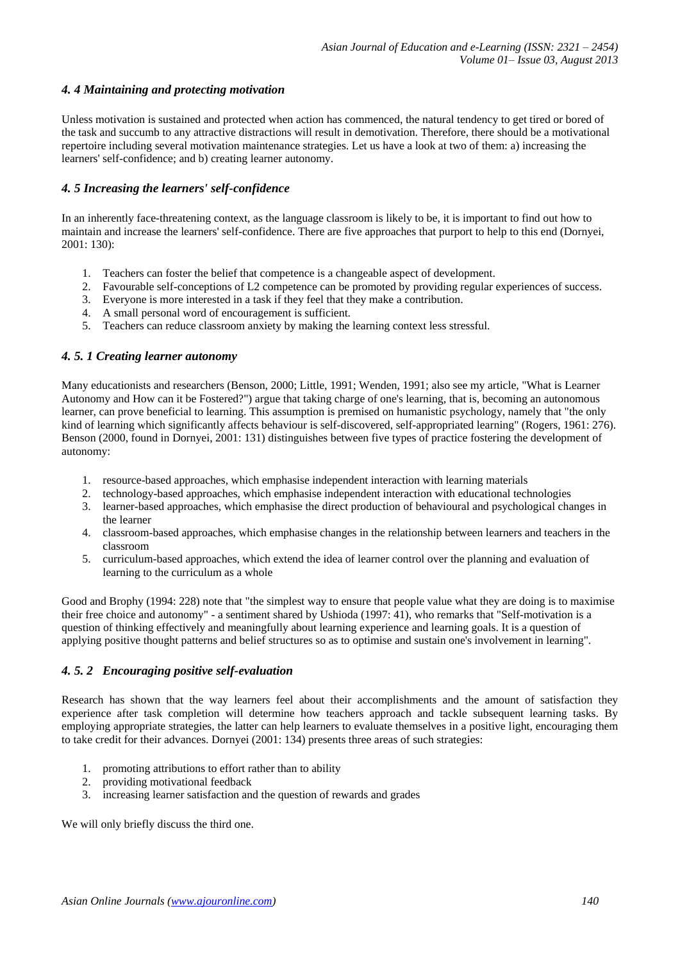# *4. 4 Maintaining and protecting motivation*

Unless motivation is sustained and protected when action has commenced, the natural tendency to get tired or bored of the task and succumb to any attractive distractions will result in demotivation. Therefore, there should be a motivational repertoire including several motivation maintenance strategies. Let us have a look at two of them: a) increasing the learners' self-confidence; and b) creating learner autonomy.

## *4. 5 Increasing the learners' self-confidence*

In an inherently face-threatening context, as the language classroom is likely to be, it is important to find out how to maintain and increase the learners' self-confidence. There are five approaches that purport to help to this end (Dornyei, 2001: 130):

- 1. Teachers can foster the belief that competence is a changeable aspect of development.
- 2. Favourable self-conceptions of L2 competence can be promoted by providing regular experiences of success.
- 3. Everyone is more interested in a task if they feel that they make a contribution.
- 4. A small personal word of encouragement is sufficient.
- 5. Teachers can reduce classroom anxiety by making the learning context less stressful.

## *4. 5. 1 Creating learner autonomy*

Many educationists and researchers (Benson, 2000; Little, 1991; Wenden, 1991; also see my article, "What is Learner Autonomy and How can it be Fostered?") argue that taking charge of one's learning, that is, becoming an autonomous learner, can prove beneficial to learning. This assumption is premised on humanistic psychology, namely that "the only kind of learning which significantly affects behaviour is self-discovered, self-appropriated learning" (Rogers, 1961: 276). Benson (2000, found in Dornyei, 2001: 131) distinguishes between five types of practice fostering the development of autonomy:

- 1. resource-based approaches, which emphasise independent interaction with learning materials
- 2. technology-based approaches, which emphasise independent interaction with educational technologies
- 3. learner-based approaches, which emphasise the direct production of behavioural and psychological changes in the learner
- 4. classroom-based approaches, which emphasise changes in the relationship between learners and teachers in the classroom
- 5. curriculum-based approaches, which extend the idea of learner control over the planning and evaluation of learning to the curriculum as a whole

Good and Brophy (1994: 228) note that "the simplest way to ensure that people value what they are doing is to maximise their free choice and autonomy" - a sentiment shared by Ushioda (1997: 41), who remarks that "Self-motivation is a question of thinking effectively and meaningfully about learning experience and learning goals. It is a question of applying positive thought patterns and belief structures so as to optimise and sustain one's involvement in learning".

#### *4. 5. 2 Encouraging positive self-evaluation*

Research has shown that the way learners feel about their accomplishments and the amount of satisfaction they experience after task completion will determine how teachers approach and tackle subsequent learning tasks. By employing appropriate strategies, the latter can help learners to evaluate themselves in a positive light, encouraging them to take credit for their advances. Dornyei (2001: 134) presents three areas of such strategies:

- 1. promoting attributions to effort rather than to ability
- 2. providing motivational feedback
- 3. increasing learner satisfaction and the question of rewards and grades

We will only briefly discuss the third one.